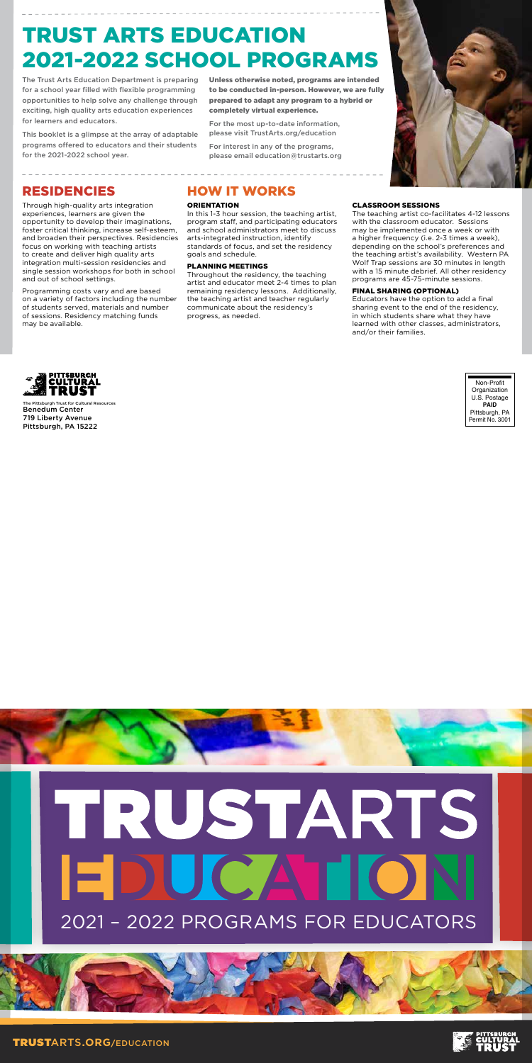# TRUSTARTS EDUCATION 2021 – 2022 PROGRAMS FOR EDUCATORS





## RESIDENCIES

Through high-quality arts integration experiences, learners are given the opportunity to develop their imaginations, foster critical thinking, increase self-esteem, and broaden their perspectives. Residencies focus on working with teaching artists to create and deliver high quality arts integration multi-session residencies and single session workshops for both in school and out of school settings.

Programming costs vary and are based on a variety of factors including the number of students served, materials and number of sessions. Residency matching funds may be available.

# HOW IT WORKS

#### **ORIENTATION**

 In this 1-3 hour session, the teaching artist, program staff, and participating educators and school administrators meet to discuss arts-integrated instruction, identify standards of focus, and set the residency goals and schedule.

#### PLANNING MEETINGS

Throughout the residency, the teaching artist and educator meet 2-4 times to plan remaining residency lessons. Additionally, the teaching artist and teacher regularly communicate about the residency's progress, as needed.

#### CLASSROOM SESSIONS

 The teaching artist co-facilitates 4-12 lessons with the classroom educator. Sessions may be implemented once a week or with a higher frequency (i.e. 2-3 times a week), depending on the school's preferences and the teaching artist's availability. Western PA Wolf Trap sessions are 30 minutes in length with a 15 minute debrief. All other residency programs are 45-75-minute sessions.

#### FINAL SHARING (OPTIONAL)

Educators have the option to add a final sharing event to the end of the residency, in which students share what they have learned with other classes, administrators, and/or their families.



Non-ProfitOrganization U.S. Postage **PAID** Pittsburgh, PA Permit No. 3001



The Pittsburgh Trust for Cultural Resources Benedum Center719 Liberty Avenue Pittsburgh, PA 15222

# TRUST ARTS EDUCATION 2021-2022 SCHOOL PROGRAMS

The Trust Arts Education Department is preparing for a school year filled with flexible programming opportunities to help solve any challenge through exciting, high quality arts education experiences for learners and educators.

This booklet is a glimpse at the array of adaptable programs offered to educators and their students for the 2021-2022 school year.

Unless otherwise noted, programs are intended to be conducted in-person. However, we are fully prepared to adapt any program to a hybrid or completely virtual experience.

For the most up-to-date information, please visit TrustArts.org/education

For interest in any of the programs, please email education@trustarts.org

TRUSTARTS**.ORG/**EDUCATION